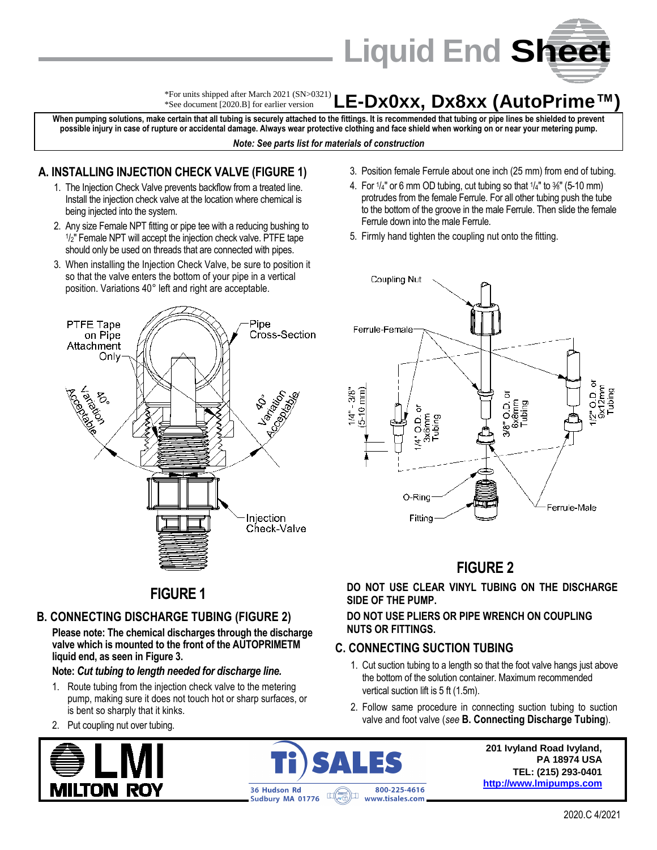

#### **LE-Dx0xx, Dx8xx (AutoPrime™)** \*For units shipped after March 2021 (SN>0321) \*See document [2020.B] for earlier version

**When pumping solutions, make certain that all tubing is securely attached to the fittings. It is recommended that tubing or pipe lines be shielded to prevent possible injury in case of rupture or accidental damage. Always wear protective clothing and face shield when working on or near your metering pump.** *Note: See parts list for materials of construction*

### **A. INSTALLING INJECTION CHECK VALVE (FIGURE 1)**

- 1. The Injection Check Valve prevents backflow from a treated line. Install the injection check valve at the location where chemical is being injected into the system.
- 2. Any size Female NPT fitting or pipe tee with a reducing bushing to 1 /2" Female NPT will accept the injection check valve. PTFE tape should only be used on threads that are connected with pipes.
- 3. When installing the Injection Check Valve, be sure to position it so that the valve enters the bottom of your pipe in a vertical position. Variations 40° left and right are acceptable.



- 3. Position female Ferrule about one inch (25 mm) from end of tubing.
- 4. For  $1/4$ " or 6 mm OD tubing, cut tubing so that  $1/4$ " to  $\frac{3}{8}$ " (5-10 mm) protrudes from the female Ferrule. For all other tubing push the tube to the bottom of the groove in the male Ferrule. Then slide the female Ferrule down into the male Ferrule.
- 5. Firmly hand tighten the coupling nut onto the fitting.



## **FIGURE 2**

**DO NOT USE CLEAR VINYL TUBING ON THE DISCHARGE SIDE OF THE PUMP.**

### **DO NOT USE PLIERS OR PIPE WRENCH ON COUPLING NUTS OR FITTINGS.**

## **C. CONNECTING SUCTION TUBING**

- 1. Cut suction tubing to a length so that the foot valve hangs just above the bottom of the solution container. Maximum recommended vertical suction lift is 5 ft (1.5m).
- 2. Follow same procedure in connecting suction tubing to suction valve and foot valve (*see* **B. Connecting Discharge Tubing**).

**201 Ivyland Road Ivyland, PA 18974 USA TEL: (215) 293-0401 [http://www.lmipumps.com](http://www.lmipumps.com/)**

**FIGURE 1**

## **B. CONNECTING DISCHARGE TUBING (FIGURE 2)**

**Please note: The chemical discharges through the discharge valve which is mounted to the front of the AUTOPRIMETM liquid end, as seen in Figure 3.**

#### **Note:** *Cut tubing to length needed for discharge line.*

- 1. Route tubing from the injection check valve to the metering pump, making sure it does not touch hot or sharp surfaces, or is bent so sharply that it kinks.
- 2. Put coupling nut over tubing.





2020.C 4/2021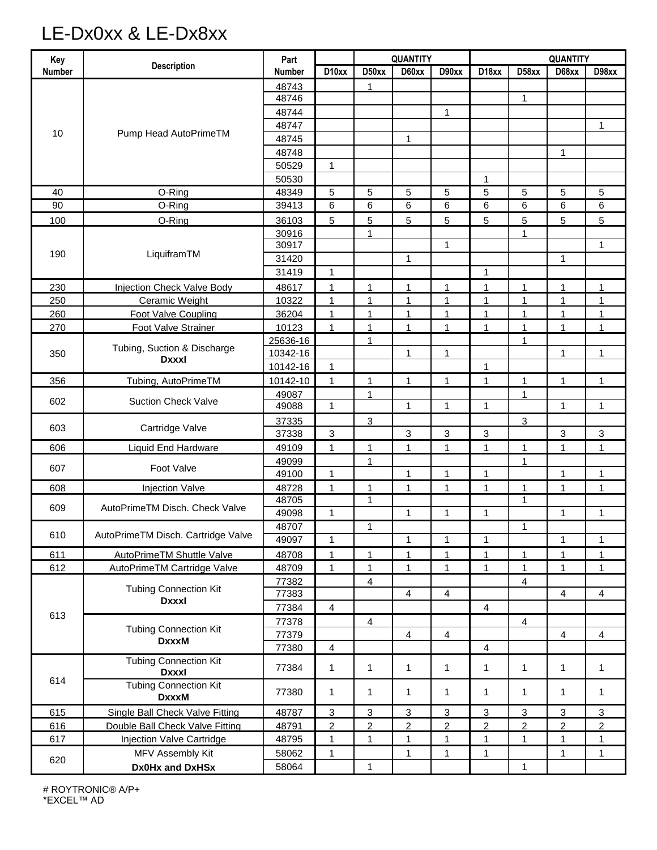# LE-Dx0xx & LE-Dx8xx

| Key           | <b>Description</b>                           | Part          |                | <b>QUANTITY</b> |                |                         | <b>QUANTITY</b>    |                |                |                |
|---------------|----------------------------------------------|---------------|----------------|-----------------|----------------|-------------------------|--------------------|----------------|----------------|----------------|
| <b>Number</b> |                                              | <b>Number</b> | D10xx          | D50xx           | D60xx          | D90xx                   | D <sub>18</sub> xx | D58xx          | D68xx          | D98xx          |
| 10            | Pump Head AutoPrimeTM                        | 48743         |                | 1               |                |                         |                    |                |                |                |
|               |                                              | 48746         |                |                 |                |                         |                    | $\mathbf{1}$   |                |                |
|               |                                              | 48744         |                |                 |                | 1                       |                    |                |                |                |
|               |                                              | 48747         |                |                 |                |                         |                    |                |                | 1              |
|               |                                              | 48745         |                |                 | 1              |                         |                    |                |                |                |
|               |                                              | 48748         |                |                 |                |                         |                    |                | 1              |                |
|               |                                              | 50529         | $\mathbf{1}$   |                 |                |                         |                    |                |                |                |
|               |                                              | 50530         |                |                 |                |                         | 1                  |                |                |                |
| 40            | O-Ring                                       | 48349         | 5              | 5               | 5              | 5                       | 5                  | 5              | 5              | 5              |
| 90            | O-Ring                                       | 39413         | 6              | 6               | 6              | 6                       | 6                  | 6              | 6              | 6              |
| 100           | O-Ring                                       | 36103         | 5              | 5               | 5              | 5                       | 5                  | 5              | 5              | 5              |
| 190           | LiquiframTM                                  | 30916         |                | 1               |                |                         |                    | 1              |                |                |
|               |                                              | 30917         |                |                 |                | 1                       |                    |                |                | $\mathbf{1}$   |
|               |                                              | 31420         |                |                 | $\mathbf{1}$   |                         |                    |                | $\mathbf{1}$   |                |
|               |                                              | 31419         | $\mathbf{1}$   |                 |                |                         | $\mathbf{1}$       |                |                |                |
| 230           | <b>Injection Check Valve Body</b>            | 48617         | $\mathbf{1}$   | 1               | 1              | 1                       | 1                  | 1              | 1              | 1              |
| 250           | <b>Ceramic Weight</b>                        | 10322         | $\mathbf{1}$   | 1               | 1              | 1                       | 1                  | 1              | 1              | 1              |
| 260           | Foot Valve Coupling                          | 36204         | 1              | 1               | 1              | 1                       | 1                  | 1              | 1              | 1              |
| 270           | Foot Valve Strainer                          | 10123         | 1              | 1               | 1              | 1                       | 1                  | 1              | 1              | 1              |
| 350           | Tubing, Suction & Discharge<br><b>Dxxxl</b>  | 25636-16      |                | 1               |                |                         |                    | 1              |                |                |
|               |                                              | 10342-16      |                |                 | 1              | 1                       |                    |                | 1              | 1              |
|               |                                              | 10142-16      | $\mathbf{1}$   |                 |                |                         | 1                  |                |                |                |
| 356           | Tubing, AutoPrimeTM                          | 10142-10      | $\mathbf{1}$   | 1               | 1              | $\mathbf{1}$            | $\mathbf{1}$       | 1              | 1              | 1              |
|               |                                              | 49087         |                | 1               |                |                         |                    | 1              |                |                |
| 602           | <b>Suction Check Valve</b>                   | 49088         | 1              |                 | $\mathbf{1}$   | 1                       | $\mathbf{1}$       |                | 1              | $\mathbf{1}$   |
| 603           | Cartridge Valve                              | 37335         |                | 3               |                |                         |                    | 3              |                |                |
|               |                                              | 37338         | 3              |                 | 3              | 3                       | 3                  |                | 3              | 3              |
| 606           | <b>Liquid End Hardware</b>                   | 49109         | $\mathbf{1}$   | 1               | 1              | $\mathbf{1}$            | $\mathbf{1}$       | 1              | 1              | $\mathbf{1}$   |
| 607           | Foot Valve                                   | 49099         |                | $\mathbf{1}$    |                |                         |                    | 1              |                |                |
|               |                                              | 49100         | $\mathbf{1}$   |                 | 1              | $\mathbf{1}$            | 1                  |                | $\mathbf{1}$   | $\mathbf{1}$   |
| 608           | <b>Injection Valve</b>                       | 48728         | 1              | 1               | 1              | 1                       | $\mathbf{1}$       | 1              | 1              | 1              |
| 609           | AutoPrimeTM Disch, Check Valve               | 48705         |                | 1               |                |                         |                    | 1              |                |                |
|               |                                              | 49098         | $\mathbf{1}$   |                 | $\mathbf{1}$   | 1                       | $\mathbf{1}$       |                | $\mathbf{1}$   | $\mathbf{1}$   |
| 610           | AutoPrimeTM Disch. Cartridge Valve           | 48707         |                | 1               |                |                         |                    | 1              |                |                |
|               |                                              | 49097         | $\mathbf{1}$   |                 | $\mathbf{1}$   | $\mathbf{1}$            | $\mathbf{1}$       |                | 1              | 1              |
| 611           | AutoPrimeTM Shuttle Valve                    | 48708         | $\mathbf{1}$   | 1               | $\mathbf{1}$   | $\mathbf{1}$            | $\mathbf{1}$       | 1              | 1              | 1              |
| 612           | AutoPrimeTM Cartridge Valve                  | 48709         | $\mathbf{1}$   | $\mathbf{1}$    | $\mathbf{1}$   | $\mathbf{1}$            | $\mathbf{1}$       | $\mathbf{1}$   | $\mathbf{1}$   | $\mathbf{1}$   |
| 613           |                                              | 77382         |                | 4               |                |                         |                    | $\overline{4}$ |                |                |
|               | <b>Tubing Connection Kit</b><br><b>Dxxxl</b> | 77383         |                |                 | $\overline{4}$ | 4                       |                    |                | 4              | 4              |
|               |                                              | 77384         | $\overline{4}$ |                 |                |                         | $\overline{4}$     |                |                |                |
|               | <b>Tubing Connection Kit</b><br><b>DxxxM</b> | 77378         |                | $\overline{4}$  |                |                         |                    | $\overline{4}$ |                |                |
|               |                                              | 77379         |                |                 | $\overline{4}$ | $\overline{\mathbf{4}}$ |                    |                | 4              | 4              |
|               |                                              | 77380         | $\overline{4}$ |                 |                |                         | $\overline{4}$     |                |                |                |
| 614           | <b>Tubing Connection Kit</b><br><b>Dxxxl</b> | 77384         | 1              | 1               | $\mathbf{1}$   | 1                       | $\mathbf 1$        | $\mathbf{1}$   | $\mathbf{1}$   | 1              |
|               | <b>Tubing Connection Kit</b><br><b>DxxxM</b> | 77380         | 1              | 1               | 1              | 1                       | 1                  | 1              | $\mathbf{1}$   | 1              |
| 615           | Single Ball Check Valve Fitting              | 48787         | 3              | 3               | 3              | 3                       | 3                  | 3              | 3              | 3              |
| 616           | Double Ball Check Valve Fitting              | 48791         | $\overline{c}$ | $\overline{2}$  | $\overline{c}$ | $\overline{2}$          | $\overline{2}$     | $\overline{c}$ | $\overline{c}$ | $\overline{c}$ |
| 617           | Injection Valve Cartridge                    | 48795         | 1              | $\mathbf{1}$    | $\mathbf{1}$   | $\mathbf{1}$            | $\mathbf{1}$       | 1              | 1              | 1              |
| 620           | MFV Assembly Kit                             | 58062         | 1              |                 | 1              | 1                       | 1                  |                | 1              | 1              |
|               | Dx0Hx and DxHSx                              | 58064         |                | $\mathbf{1}$    |                |                         |                    | 1              |                |                |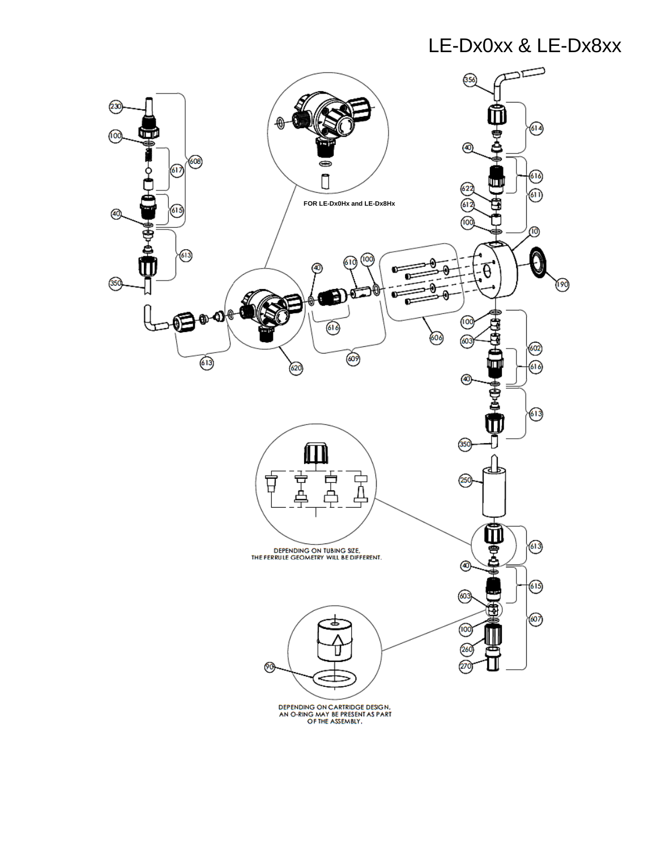## LE-Dx0xx & LE-Dx8xx

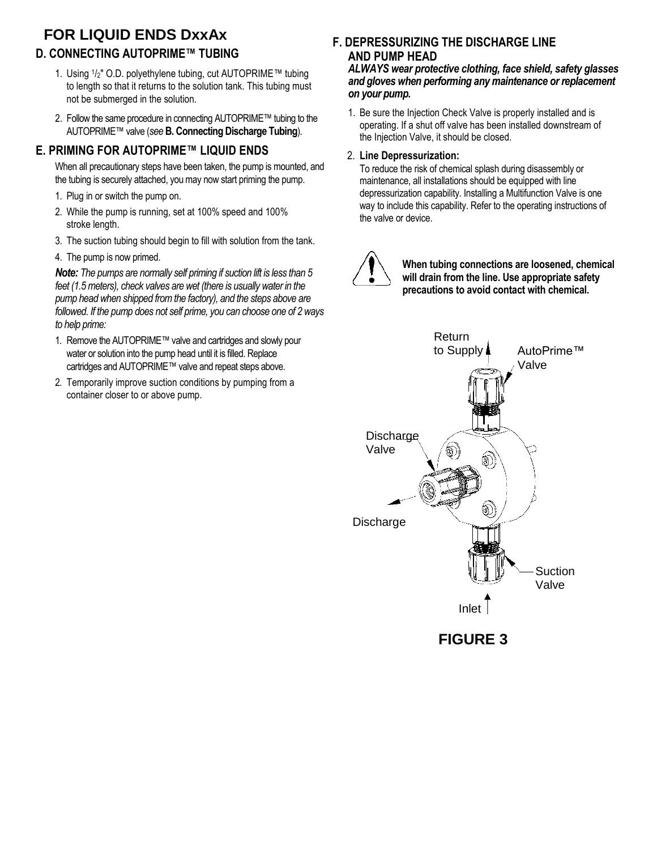## **D. CONNECTING AUTOPRIME™ TUBING FOR LIQUID ENDS DxxAx**

- 1. Using <sup>1</sup> /2" O.D. polyethylene tubing, cut AUTOPRIME™ tubing to length so that it returns to the solution tank. This tubing must not be submerged in the solution.
- 2. Follow the same procedure in connecting AUTOPRIME™ tubing to the AUTOPRIME™ valve (*see* **B. Connecting Discharge Tubing**).

## **E. PRIMING FOR AUTOPRIME™ LIQUID ENDS**

When all precautionary steps have been taken, the pump is mounted, and the tubing is securely attached, you may now start priming the pump.

- 1. Plug in or switch the pump on.
- 2. While the pump is running, set at 100% speed and 100% stroke length.
- 3. The suction tubing should begin to fill with solution from the tank.
- 4. The pump is now primed.

*Note: The pumps are normally self priming if suction lift is less than 5 feet (1.5 meters), check valves are wet (there is usually water in the pump head when shipped from the factory), and the steps above are followed. If the pump does not self prime, you can choose one of 2 ways to help prime:*

- 1. Remove the AUTOPRIME™ valve and cartridges and slowly pour water or solution into the pump head until it is filled. Replace cartridges and AUTOPRIME™ valve and repeat steps above.
- 2. Temporarily improve suction conditions by pumping from a container closer to or above pump.

## **F. DEPRESSURIZING THE DISCHARGE LINE AND PUMP HEAD**

*ALWAYS wear protective clothing, face shield, safety glasses and gloves when performing any maintenance or replacement on your pump.*

1. Be sure the Injection Check Valve is properly installed and is operating. If a shut off valve has been installed downstream of the Injection Valve, it should be closed.

#### 2. **Line Depressurization:**

To reduce the risk of chemical splash during disassembly or maintenance, all installations should be equipped with line depressurization capability. Installing a Multifunction Valve is one way to include this capability. Refer to the operating instructions of the valve or device.



**When tubing connections are loosened, chemical will drain from the line. Use appropriate safety precautions to avoid contact with chemical.**



**FIGURE 3**